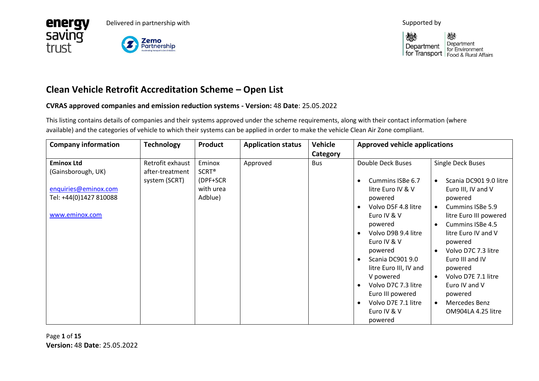



燃 炒 Department Department Department | For Environment<br>| for Transport | Food & Rural Affairs

## **Clean Vehicle Retrofit Accreditation Scheme – Open List**

## **CVRAS approved companies and emission reduction systems - Version:** 48 **Date**: 25.05.2022

This listing contains details of companies and their systems approved under the scheme requirements, along with their contact information (where available) and the categories of vehicle to which their systems can be applied in order to make the vehicle Clean Air Zone compliant.

| <b>Company information</b>                                       | <b>Technology</b>                                    | <b>Product</b>                          | <b>Application status</b> | <b>Vehicle</b> | <b>Approved vehicle applications</b>                                                                                                                                                                                                                                                                                                                                                                                                                                                                                                                                                                                                                                                           |  |
|------------------------------------------------------------------|------------------------------------------------------|-----------------------------------------|---------------------------|----------------|------------------------------------------------------------------------------------------------------------------------------------------------------------------------------------------------------------------------------------------------------------------------------------------------------------------------------------------------------------------------------------------------------------------------------------------------------------------------------------------------------------------------------------------------------------------------------------------------------------------------------------------------------------------------------------------------|--|
|                                                                  |                                                      |                                         |                           | Category       |                                                                                                                                                                                                                                                                                                                                                                                                                                                                                                                                                                                                                                                                                                |  |
| <b>Eminox Ltd</b><br>(Gainsborough, UK)                          | Retrofit exhaust<br>after-treatment<br>system (SCRT) | Eminox<br>SCRT <sup>®</sup><br>(DPF+SCR | Approved                  | <b>Bus</b>     | <b>Double Deck Buses</b><br>Single Deck Buses<br>Cummins ISBe 6.7<br>Scania DC901 9.0 litre<br>$\bullet$                                                                                                                                                                                                                                                                                                                                                                                                                                                                                                                                                                                       |  |
| enquiries@eminox.com<br>Tel: +44(0)1427 810088<br>www.eminox.com |                                                      | with urea<br>Adblue)                    |                           |                | litre Euro IV & V<br>Euro III, IV and V<br>powered<br>powered<br>Volvo D5F 4.8 litre<br>Cummins ISBe 5.9<br>$\bullet$<br>$\bullet$<br>Euro IV & V<br>litre Euro III powered<br>Cummins ISBe 4.5<br>powered<br>$\bullet$<br>Volvo D9B 9.4 litre<br>litre Euro IV and V<br>$\bullet$<br>Euro IV & V<br>powered<br>Volvo D7C 7.3 litre<br>powered<br>$\bullet$<br>Scania DC901 9.0<br>Euro III and IV<br>$\bullet$<br>litre Euro III, IV and<br>powered<br>Volvo D7E 7.1 litre<br>V powered<br>$\bullet$<br>Volvo D7C 7.3 litre<br>Euro IV and V<br>Euro III powered<br>powered<br>Volvo D7E 7.1 litre<br>Mercedes Benz<br>$\bullet$<br>$\bullet$<br>Euro IV & V<br>OM904LA 4.25 litre<br>powered |  |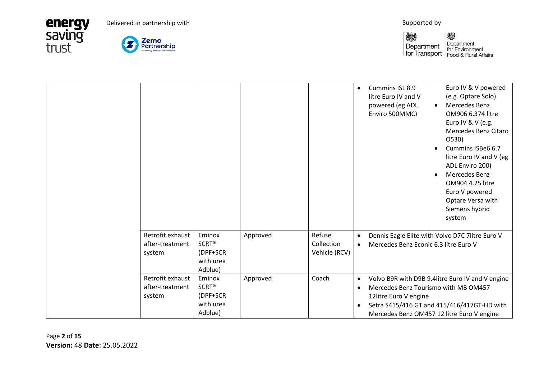



|                                               |                                                                 |          |                                       | $\bullet$                           | Cummins ISL 8.9<br>litre Euro IV and V<br>powered (eg ADL<br>Enviro 500MMC)                                 | $\bullet$<br>$\bullet$<br>$\bullet$ | Euro IV & V powered<br>(e.g. Optare Solo)<br>Mercedes Benz<br>OM906 6.374 litre<br>Euro IV & V (e.g.<br>Mercedes Benz Citaro<br>O530)<br>Cummins ISBe6 6.7<br>litre Euro IV and V (eg<br>ADL Enviro 200)<br>Mercedes Benz<br>OM904 4.25 litre<br>Euro V powered<br>Optare Versa with<br>Siemens hybrid<br>system |
|-----------------------------------------------|-----------------------------------------------------------------|----------|---------------------------------------|-------------------------------------|-------------------------------------------------------------------------------------------------------------|-------------------------------------|------------------------------------------------------------------------------------------------------------------------------------------------------------------------------------------------------------------------------------------------------------------------------------------------------------------|
| Retrofit exhaust<br>after-treatment<br>system | Eminox<br>SCRT <sup>®</sup><br>(DPF+SCR<br>with urea<br>Adblue) | Approved | Refuse<br>Collection<br>Vehicle (RCV) | $\bullet$<br>$\bullet$              | Dennis Eagle Elite with Volvo D7C 7litre Euro V<br>Mercedes Benz Econic 6.3 litre Euro V                    |                                     |                                                                                                                                                                                                                                                                                                                  |
| Retrofit exhaust<br>after-treatment<br>system | Eminox<br>SCRT <sup>®</sup><br>(DPF+SCR<br>with urea<br>Adblue) | Approved | Coach                                 | $\bullet$<br>$\bullet$<br>$\bullet$ | Mercedes Benz Tourismo with MB OM457<br>12litre Euro V engine<br>Mercedes Benz OM457 12 litre Euro V engine |                                     | Volvo B9R with D9B 9.4litre Euro IV and V engine<br>Setra S415/416 GT and 415/416/417GT-HD with                                                                                                                                                                                                                  |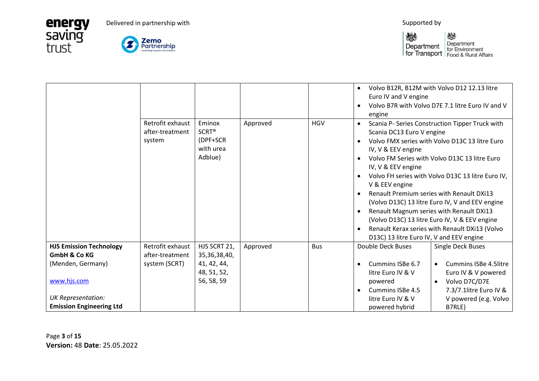

**energy**<br>saving<br>trust



|                                                              | Retrofit exhaust<br>after-treatment<br>system | Eminox<br>SCRT <sup>®</sup><br>(DPF+SCR<br>with urea<br>Adblue) | Approved | <b>HGV</b> | Euro IV and V engine<br>engine<br>Scania DC13 Euro V engine<br>IV, V & EEV engine<br>$\bullet$<br>IV, V & EEV engine<br>V & EEV engine<br>Renault Premium series with Renault DXi13<br>Renault Magnum series with Renault DXi13<br>D13C) 13 litre Euro IV, V and EEV engine | Volvo B12R, B12M with Volvo D12 12.13 litre<br>Volvo B7R with Volvo D7E 7.1 litre Euro IV and V<br>Scania P- Series Construction Tipper Truck with<br>Volvo FMX series with Volvo D13C 13 litre Euro<br>Volvo FM Series with Volvo D13C 13 litre Euro<br>Volvo FH series with Volvo D13C 13 litre Euro IV,<br>(Volvo D13C) 13 litre Euro IV, V and EEV engine<br>(Volvo D13C) 13 litre Euro IV, V & EEV engine<br>Renault Kerax series with Renault DXi13 (Volvo |
|--------------------------------------------------------------|-----------------------------------------------|-----------------------------------------------------------------|----------|------------|-----------------------------------------------------------------------------------------------------------------------------------------------------------------------------------------------------------------------------------------------------------------------------|------------------------------------------------------------------------------------------------------------------------------------------------------------------------------------------------------------------------------------------------------------------------------------------------------------------------------------------------------------------------------------------------------------------------------------------------------------------|
| <b>HJS Emission Technology</b><br>GmbH & Co KG               | Retrofit exhaust<br>after-treatment           | HJS SCRT 21,<br>35,36,38,40,                                    | Approved | <b>Bus</b> | Double Deck Buses                                                                                                                                                                                                                                                           | Single Deck Buses                                                                                                                                                                                                                                                                                                                                                                                                                                                |
| (Menden, Germany)                                            | system (SCRT)                                 | 41, 42, 44,<br>48, 51, 52,                                      |          |            | Cummins ISBe 6.7<br>litre Euro IV & V                                                                                                                                                                                                                                       | <b>Cummins ISBe 4.5litre</b><br>$\bullet$<br>Euro IV & V powered                                                                                                                                                                                                                                                                                                                                                                                                 |
| www.hjs.com                                                  |                                               | 56, 58, 59                                                      |          |            | powered                                                                                                                                                                                                                                                                     | Volvo D7C/D7E<br>$\bullet$                                                                                                                                                                                                                                                                                                                                                                                                                                       |
|                                                              |                                               |                                                                 |          |            | Cummins ISBe 4.5<br>$\bullet$                                                                                                                                                                                                                                               | 7.3/7.1litre Euro IV &                                                                                                                                                                                                                                                                                                                                                                                                                                           |
| <b>UK Representation:</b><br><b>Emission Engineering Ltd</b> |                                               |                                                                 |          |            | litre Euro IV & V                                                                                                                                                                                                                                                           | V powered (e.g. Volvo                                                                                                                                                                                                                                                                                                                                                                                                                                            |
|                                                              |                                               |                                                                 |          |            | powered hybrid                                                                                                                                                                                                                                                              | B7RLE)                                                                                                                                                                                                                                                                                                                                                                                                                                                           |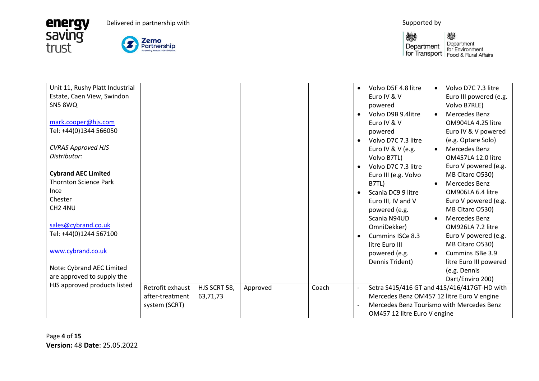



| Unit 11, Rushy Platt Industrial |                  |              |          |       | Volvo D5F 4.8 litre<br>$\bullet$ | Volvo D7C 7.3 litre<br>$\bullet$            |
|---------------------------------|------------------|--------------|----------|-------|----------------------------------|---------------------------------------------|
| Estate, Caen View, Swindon      |                  |              |          |       | Euro IV & V                      | Euro III powered (e.g.                      |
| SN58WQ                          |                  |              |          |       | powered                          | Volvo B7RLE)                                |
|                                 |                  |              |          |       | Volvo D9B 9.4litre<br>$\bullet$  | Mercedes Benz<br>$\bullet$                  |
| mark.cooper@hjs.com             |                  |              |          |       | Euro IV & V                      | OM904LA 4.25 litre                          |
| Tel: +44(0)1344 566050          |                  |              |          |       | powered                          | Euro IV & V powered                         |
|                                 |                  |              |          |       | Volvo D7C 7.3 litre<br>$\bullet$ | (e.g. Optare Solo)                          |
| <b>CVRAS Approved HJS</b>       |                  |              |          |       | Euro IV & V (e.g.                | Mercedes Benz<br>$\bullet$                  |
| Distributor:                    |                  |              |          |       | Volvo B7TL)                      | <b>OM457LA 12.0 litre</b>                   |
|                                 |                  |              |          |       | Volvo D7C 7.3 litre<br>$\bullet$ | Euro V powered (e.g.                        |
| <b>Cybrand AEC Limited</b>      |                  |              |          |       | Euro III (e.g. Volvo             | MB Citaro O530)                             |
| <b>Thornton Science Park</b>    |                  |              |          |       | B7TL)                            | Mercedes Benz<br>$\bullet$                  |
| <b>Ince</b>                     |                  |              |          |       | Scania DC9 9 litre<br>$\bullet$  | OM906LA 6.4 litre                           |
| Chester                         |                  |              |          |       | Euro III, IV and V               | Euro V powered (e.g.                        |
| CH <sub>2</sub> 4NU             |                  |              |          |       | powered (e.g.                    | MB Citaro O530)                             |
|                                 |                  |              |          |       | Scania N94UD                     | Mercedes Benz<br>$\bullet$                  |
| sales@cybrand.co.uk             |                  |              |          |       | OmniDekker)                      | OM926LA 7.2 litre                           |
| Tel: +44(0)1244 567100          |                  |              |          |       | Cummins ISCe 8.3                 | Euro V powered (e.g.                        |
|                                 |                  |              |          |       | litre Euro III                   | MB Citaro O530)                             |
| www.cybrand.co.uk               |                  |              |          |       | powered (e.g.                    | Cummins ISBe 3.9<br>$\bullet$               |
|                                 |                  |              |          |       | Dennis Trident)                  | litre Euro III powered                      |
| Note: Cybrand AEC Limited       |                  |              |          |       |                                  | (e.g. Dennis                                |
| are approved to supply the      |                  |              |          |       |                                  | Dart/Enviro 200)                            |
| HJS approved products listed    | Retrofit exhaust | HJS SCRT 58, | Approved | Coach |                                  | Setra S415/416 GT and 415/416/417GT-HD with |
|                                 | after-treatment  | 63,71,73     |          |       |                                  | Mercedes Benz OM457 12 litre Euro V engine  |
|                                 | system (SCRT)    |              |          |       |                                  | Mercedes Benz Tourismo with Mercedes Benz   |
|                                 |                  |              |          |       | OM457 12 litre Euro V engine     |                                             |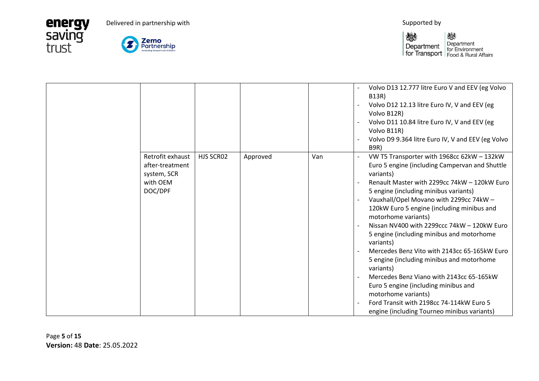

**energy**<br>saving<br>trust

|                                                                           |           |          |     | Volvo D13 12.777 litre Euro V and EEV (eg Volvo<br><b>B13R)</b><br>Volvo D12 12.13 litre Euro IV, V and EEV (eg<br>Volvo B12R)<br>Volvo D11 10.84 litre Euro IV, V and EEV (eg<br>Volvo B11R)<br>Volvo D9 9.364 litre Euro IV, V and EEV (eg Volvo<br>B9R)                                                                                                                                                                                                                                                                                                                                                                                                                                                                                                                                          |
|---------------------------------------------------------------------------|-----------|----------|-----|-----------------------------------------------------------------------------------------------------------------------------------------------------------------------------------------------------------------------------------------------------------------------------------------------------------------------------------------------------------------------------------------------------------------------------------------------------------------------------------------------------------------------------------------------------------------------------------------------------------------------------------------------------------------------------------------------------------------------------------------------------------------------------------------------------|
| Retrofit exhaust<br>after-treatment<br>system, SCR<br>with OEM<br>DOC/DPF | HJS SCRO2 | Approved | Van | VW T5 Transporter with 1968cc 62kW - 132kW<br>$\overline{\phantom{a}}$<br>Euro 5 engine (including Campervan and Shuttle<br>variants)<br>Renault Master with 2299cc 74kW - 120kW Euro<br>5 engine (including minibus variants)<br>Vauxhall/Opel Movano with 2299cc 74kW -<br>$\overline{\phantom{a}}$<br>120kW Euro 5 engine (including minibus and<br>motorhome variants)<br>Nissan NV400 with 2299ccc 74kW - 120kW Euro<br>5 engine (including minibus and motorhome<br>variants)<br>Mercedes Benz Vito with 2143cc 65-165kW Euro<br>5 engine (including minibus and motorhome<br>variants)<br>Mercedes Benz Viano with 2143cc 65-165kW<br>Euro 5 engine (including minibus and<br>motorhome variants)<br>Ford Transit with 2198cc 74-114kW Euro 5<br>engine (including Tourneo minibus variants) |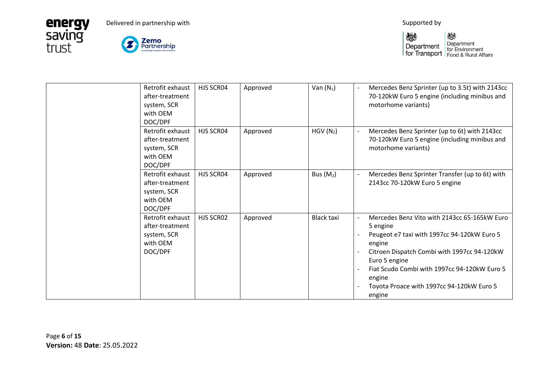

**energy**<br>saving<br>trust

| Retrofit exhaust<br>after-treatment<br>system, SCR<br>with OEM<br>DOC/DPF | HJS SCR04 | Approved | Van $(N_1)$          | Mercedes Benz Sprinter (up to 3.5t) with 2143cc<br>70-120kW Euro 5 engine (including minibus and<br>motorhome variants)                                                                                                                                                                            |
|---------------------------------------------------------------------------|-----------|----------|----------------------|----------------------------------------------------------------------------------------------------------------------------------------------------------------------------------------------------------------------------------------------------------------------------------------------------|
| Retrofit exhaust<br>after-treatment<br>system, SCR<br>with OEM<br>DOC/DPF | HJS SCR04 | Approved | HGV(N <sub>2</sub> ) | Mercedes Benz Sprinter (up to 6t) with 2143cc<br>70-120kW Euro 5 engine (including minibus and<br>motorhome variants)                                                                                                                                                                              |
| Retrofit exhaust<br>after-treatment<br>system, SCR<br>with OEM<br>DOC/DPF | HJS SCR04 | Approved | Bus $(M_2)$          | Mercedes Benz Sprinter Transfer (up to 6t) with<br>2143cc 70-120kW Euro 5 engine                                                                                                                                                                                                                   |
| Retrofit exhaust<br>after-treatment<br>system, SCR<br>with OEM<br>DOC/DPF | HJS SCR02 | Approved | <b>Black taxi</b>    | Mercedes Benz Vito with 2143cc 65-165kW Euro<br>5 engine<br>Peugeot e7 taxi with 1997cc 94-120kW Euro 5<br>engine<br>Citroen Dispatch Combi with 1997cc 94-120kW<br>Euro 5 engine<br>Fiat Scudo Combi with 1997cc 94-120kW Euro 5<br>engine<br>Toyota Proace with 1997cc 94-120kW Euro 5<br>engine |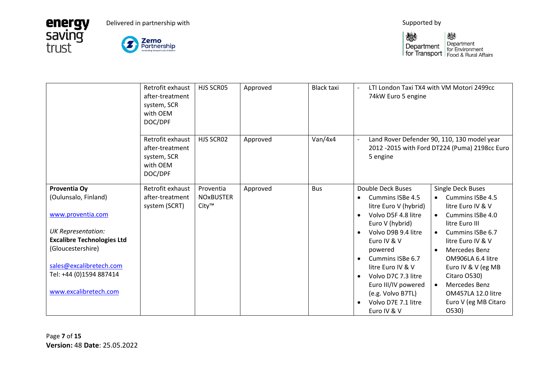





|                                                                                                                                                                                                                                 | Retrofit exhaust<br>after-treatment<br>system, SCR<br>with OEM<br>DOC/DPF | HJS SCR05                              | Approved | <b>Black taxi</b> | $\overline{\phantom{a}}$<br>74kW Euro 5 engine                                                                                                                                                                                                                                                                         | LTI London Taxi TX4 with VM Motori 2499cc                                                                                                                                                                                                                                                                                                             |
|---------------------------------------------------------------------------------------------------------------------------------------------------------------------------------------------------------------------------------|---------------------------------------------------------------------------|----------------------------------------|----------|-------------------|------------------------------------------------------------------------------------------------------------------------------------------------------------------------------------------------------------------------------------------------------------------------------------------------------------------------|-------------------------------------------------------------------------------------------------------------------------------------------------------------------------------------------------------------------------------------------------------------------------------------------------------------------------------------------------------|
|                                                                                                                                                                                                                                 | Retrofit exhaust<br>after-treatment<br>system, SCR<br>with OEM<br>DOC/DPF | HJS SCR02                              | Approved | Van/4x4           | 5 engine                                                                                                                                                                                                                                                                                                               | Land Rover Defender 90, 110, 130 model year<br>2012 -2015 with Ford DT224 (Puma) 2198cc Euro                                                                                                                                                                                                                                                          |
| Proventia Oy<br>(Oulunsalo, Finland)<br>www.proventia.com<br><b>UK Representation:</b><br><b>Excalibre Technologies Ltd</b><br>(Gloucestershire)<br>sales@excalibretech.com<br>Tel: +44 (0)1594 887414<br>www.excalibretech.com | Retrofit exhaust<br>after-treatment<br>system (SCRT)                      | Proventia<br><b>NOxBUSTER</b><br>City™ | Approved | <b>Bus</b>        | Double Deck Buses<br>Cummins ISBe 4.5<br>litre Euro V (hybrid)<br>Volvo D5F 4.8 litre<br>Euro V (hybrid)<br>Volvo D9B 9.4 litre<br>$\bullet$<br>Euro IV & V<br>powered<br>Cummins ISBe 6.7<br>litre Euro IV & V<br>Volvo D7C 7.3 litre<br>$\bullet$<br>Euro III/IV powered<br>(e.g. Volvo B7TL)<br>Volvo D7E 7.1 litre | Single Deck Buses<br>Cummins ISBe 4.5<br>$\bullet$<br>litre Euro IV & V<br>Cummins ISBe 4.0<br>$\bullet$<br>litre Euro III<br>Cummins ISBe 6.7<br>$\bullet$<br>litre Euro IV & V<br>Mercedes Benz<br>$\bullet$<br>OM906LA 6.4 litre<br>Euro IV & V (eg MB<br>Citaro O530)<br>Mercedes Benz<br>$\bullet$<br>OM457LA 12.0 litre<br>Euro V (eg MB Citaro |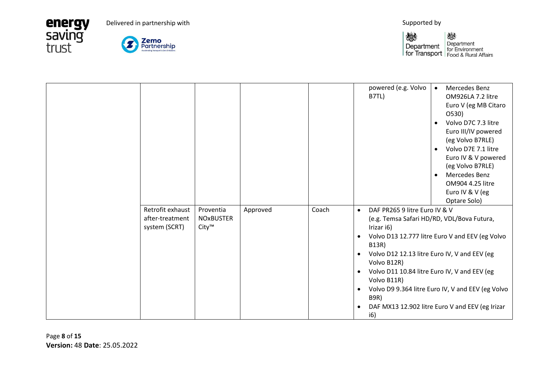**energy**<br>saving<br>trust



|                                                      |                                        |          |       | powered (e.g. Volvo<br>B7TL)                                                                                                                                                                  | <b>Mercedes Benz</b><br>$\bullet$<br>OM926LA 7.2 litre<br>Euro V (eg MB Citaro<br>O530)<br>Volvo D7C 7.3 litre<br>Euro III/IV powered<br>(eg Volvo B7RLE)<br>Volvo D7E 7.1 litre<br>$\bullet$<br>Euro IV & V powered<br>(eg Volvo B7RLE)<br>Mercedes Benz<br>$\bullet$<br>OM904 4.25 litre<br>Euro IV & V (eg<br>Optare Solo) |
|------------------------------------------------------|----------------------------------------|----------|-------|-----------------------------------------------------------------------------------------------------------------------------------------------------------------------------------------------|-------------------------------------------------------------------------------------------------------------------------------------------------------------------------------------------------------------------------------------------------------------------------------------------------------------------------------|
| Retrofit exhaust<br>after-treatment<br>system (SCRT) | Proventia<br><b>NOxBUSTER</b><br>City™ | Approved | Coach | DAF PR265 9 litre Euro IV & V<br>$\bullet$<br>Irizar i6)<br>$\bullet$<br><b>B13R)</b><br>$\bullet$<br>Volvo B12R)<br>$\bullet$<br>Volvo B11R)<br>$\bullet$<br><b>B9R)</b><br>$\bullet$<br>i6) | (e.g. Temsa Safari HD/RD, VDL/Bova Futura,<br>Volvo D13 12.777 litre Euro V and EEV (eg Volvo<br>Volvo D12 12.13 litre Euro IV, V and EEV (eg<br>Volvo D11 10.84 litre Euro IV, V and EEV (eg<br>Volvo D9 9.364 litre Euro IV, V and EEV (eg Volvo<br>DAF MX13 12.902 litre Euro V and EEV (eg Irizar                         |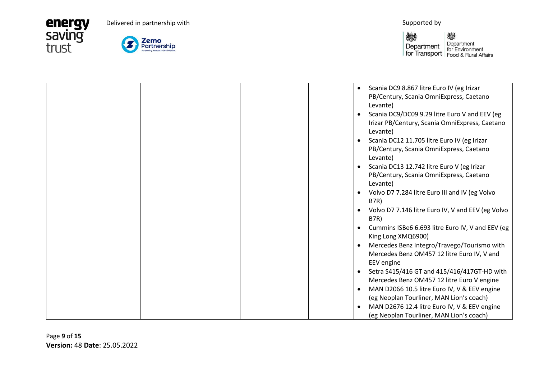





|  | Scania DC9 8.867 litre Euro IV (eg Irizar<br>PB/Century, Scania OmniExpress, Caetano<br>Levante)<br>Scania DC9/DC09 9.29 litre Euro V and EEV (eg<br>Irizar PB/Century, Scania OmniExpress, Caetano<br>Levante)<br>Scania DC12 11.705 litre Euro IV (eg Irizar<br>PB/Century, Scania OmniExpress, Caetano<br>Levante)<br>Scania DC13 12.742 litre Euro V (eg Irizar |
|--|---------------------------------------------------------------------------------------------------------------------------------------------------------------------------------------------------------------------------------------------------------------------------------------------------------------------------------------------------------------------|
|  | PB/Century, Scania OmniExpress, Caetano<br>Levante)                                                                                                                                                                                                                                                                                                                 |
|  | Volvo D7 7.284 litre Euro III and IV (eg Volvo<br><b>B7R)</b>                                                                                                                                                                                                                                                                                                       |
|  | Volvo D7 7.146 litre Euro IV, V and EEV (eg Volvo<br>$\bullet$<br><b>B7R)</b>                                                                                                                                                                                                                                                                                       |
|  | Cummins ISBe6 6.693 litre Euro IV, V and EEV (eg<br>King Long XMQ6900)                                                                                                                                                                                                                                                                                              |
|  | Mercedes Benz Integro/Travego/Tourismo with<br>Mercedes Benz OM457 12 litre Euro IV, V and<br>EEV engine                                                                                                                                                                                                                                                            |
|  | Setra S415/416 GT and 415/416/417GT-HD with<br>Mercedes Benz OM457 12 litre Euro V engine                                                                                                                                                                                                                                                                           |
|  | MAN D2066 10.5 litre Euro IV, V & EEV engine<br>$\bullet$<br>(eg Neoplan Tourliner, MAN Lion's coach)                                                                                                                                                                                                                                                               |
|  | MAN D2676 12.4 litre Euro IV, V & EEV engine<br>(eg Neoplan Tourliner, MAN Lion's coach)                                                                                                                                                                                                                                                                            |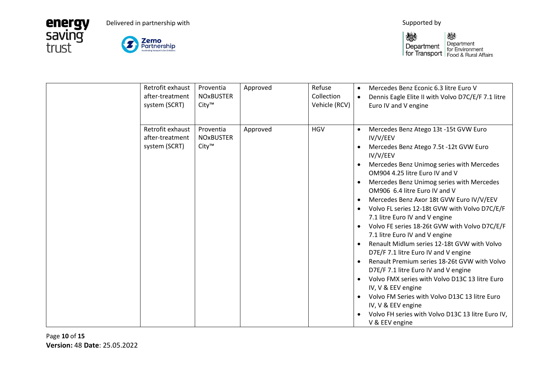

**energy**<br>saving<br>trust

| Retrofit exhaust<br>after-treatment<br>system (SCRT) | Proventia<br><b>NOxBUSTER</b><br>City™ | Approved | Refuse<br>Collection<br>Vehicle (RCV) | Mercedes Benz Econic 6.3 litre Euro V<br>$\bullet$<br>Dennis Eagle Elite II with Volvo D7C/E/F 7.1 litre<br>$\bullet$<br>Euro IV and V engine                                                                                                                                                                                                                                                                                                                                                                                                                                                                                                                                                                                                                                                                                                                                                                                                                                                                    |
|------------------------------------------------------|----------------------------------------|----------|---------------------------------------|------------------------------------------------------------------------------------------------------------------------------------------------------------------------------------------------------------------------------------------------------------------------------------------------------------------------------------------------------------------------------------------------------------------------------------------------------------------------------------------------------------------------------------------------------------------------------------------------------------------------------------------------------------------------------------------------------------------------------------------------------------------------------------------------------------------------------------------------------------------------------------------------------------------------------------------------------------------------------------------------------------------|
| Retrofit exhaust<br>after-treatment<br>system (SCRT) | Proventia<br><b>NOXBUSTER</b><br>City™ | Approved | <b>HGV</b>                            | Mercedes Benz Atego 13t -15t GVW Euro<br>$\bullet$<br>IV/V/EEV<br>Mercedes Benz Atego 7.5t -12t GVW Euro<br>IV/V/EEV<br>Mercedes Benz Unimog series with Mercedes<br>OM904 4.25 litre Euro IV and V<br>Mercedes Benz Unimog series with Mercedes<br>$\bullet$<br>OM906 6.4 litre Euro IV and V<br>Mercedes Benz Axor 18t GVW Euro IV/V/EEV<br>$\bullet$<br>Volvo FL series 12-18t GVW with Volvo D7C/E/F<br>$\bullet$<br>7.1 litre Euro IV and V engine<br>Volvo FE series 18-26t GVW with Volvo D7C/E/F<br>7.1 litre Euro IV and V engine<br>Renault Midlum series 12-18t GVW with Volvo<br>$\bullet$<br>D7E/F 7.1 litre Euro IV and V engine<br>Renault Premium series 18-26t GVW with Volvo<br>$\bullet$<br>D7E/F 7.1 litre Euro IV and V engine<br>Volvo FMX series with Volvo D13C 13 litre Euro<br>$\bullet$<br>IV, V & EEV engine<br>Volvo FM Series with Volvo D13C 13 litre Euro<br>$\bullet$<br>IV, V & EEV engine<br>Volvo FH series with Volvo D13C 13 litre Euro IV,<br>$\bullet$<br>V & EEV engine |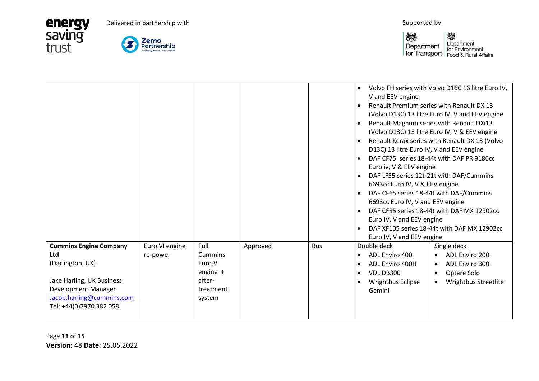**Zemo**<br>Partnership







|                               |                |            |          |            | $\bullet$<br>V and EEV engine<br>Renault Premium series with Renault DXi13<br>$\bullet$<br>Renault Magnum series with Renault DXi13<br>$\bullet$<br>D13C) 13 litre Euro IV, V and EEV engine<br>DAF CF75 series 18-44t with DAF PR 9186cc<br>$\bullet$<br>Euro iv, V & EEV engine<br>DAF LF55 series 12t-21t with DAF/Cummins<br>6693cc Euro IV, V & EEV engine<br>DAF CF65 series 18-44t with DAF/Cummins<br>$\bullet$<br>6693cc Euro IV, V and EEV engine<br>$\bullet$<br>Euro IV, V and EEV engine | Volvo FH series with Volvo D16C 16 litre Euro IV,<br>(Volvo D13C) 13 litre Euro IV, V and EEV engine<br>(Volvo D13C) 13 litre Euro IV, V & EEV engine<br>Renault Kerax series with Renault DXi13 (Volvo<br>DAF CF85 series 18-44t with DAF MX 12902cc<br>DAF XF105 series 18-44t with DAF MX 12902cc |
|-------------------------------|----------------|------------|----------|------------|-------------------------------------------------------------------------------------------------------------------------------------------------------------------------------------------------------------------------------------------------------------------------------------------------------------------------------------------------------------------------------------------------------------------------------------------------------------------------------------------------------|------------------------------------------------------------------------------------------------------------------------------------------------------------------------------------------------------------------------------------------------------------------------------------------------------|
|                               |                |            |          |            | Euro IV, V and EEV engine                                                                                                                                                                                                                                                                                                                                                                                                                                                                             |                                                                                                                                                                                                                                                                                                      |
| <b>Cummins Engine Company</b> | Euro VI engine | Full       | Approved | <b>Bus</b> | Double deck                                                                                                                                                                                                                                                                                                                                                                                                                                                                                           | Single deck                                                                                                                                                                                                                                                                                          |
| <b>Ltd</b>                    | re-power       | Cummins    |          |            | ADL Enviro 400<br>$\bullet$                                                                                                                                                                                                                                                                                                                                                                                                                                                                           | ADL Enviro 200<br>$\bullet$                                                                                                                                                                                                                                                                          |
| (Darlington, UK)              |                | Euro VI    |          |            | ADL Enviro 400H<br>$\bullet$                                                                                                                                                                                                                                                                                                                                                                                                                                                                          | ADL Enviro 300<br>$\bullet$                                                                                                                                                                                                                                                                          |
|                               |                | engine $+$ |          |            | VDL DB300<br>$\bullet$                                                                                                                                                                                                                                                                                                                                                                                                                                                                                | Optare Solo<br>$\bullet$                                                                                                                                                                                                                                                                             |
| Jake Harling, UK Business     |                | after-     |          |            | Wrightbus Eclipse                                                                                                                                                                                                                                                                                                                                                                                                                                                                                     | Wrightbus Streetlite<br>$\bullet$                                                                                                                                                                                                                                                                    |
| Development Manager           |                | treatment  |          |            | Gemini                                                                                                                                                                                                                                                                                                                                                                                                                                                                                                |                                                                                                                                                                                                                                                                                                      |
| Jacob.harling@cummins.com     |                | system     |          |            |                                                                                                                                                                                                                                                                                                                                                                                                                                                                                                       |                                                                                                                                                                                                                                                                                                      |
| Tel: +44(0)7970 382 058       |                |            |          |            |                                                                                                                                                                                                                                                                                                                                                                                                                                                                                                       |                                                                                                                                                                                                                                                                                                      |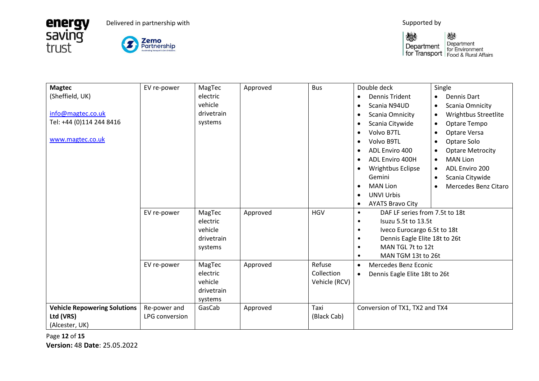

**energy**<br>saving<br>trust

燃 燃 Department<br>for Environment<br>for Transport<br>Food & Rural Affairs

| <b>Magtec</b>                       | EV re-power           | MagTec     | Approved | <b>Bus</b>    | Double deck                                 | Single                                   |
|-------------------------------------|-----------------------|------------|----------|---------------|---------------------------------------------|------------------------------------------|
| (Sheffield, UK)                     |                       | electric   |          |               | Dennis Trident<br>$\bullet$                 | Dennis Dart<br>$\bullet$                 |
|                                     |                       | vehicle    |          |               | Scania N94UD<br>$\bullet$                   | Scania Omnicity<br>$\bullet$             |
| info@magtec.co.uk                   |                       | drivetrain |          |               | Scania Omnicity<br>$\bullet$                | <b>Wrightbus Streetlite</b><br>$\bullet$ |
| Tel: +44 (0)114 244 8416            |                       | systems    |          |               | Scania Citywide<br>$\bullet$                | Optare Tempo<br>$\bullet$                |
|                                     |                       |            |          |               | Volvo B7TL<br>$\bullet$                     | Optare Versa<br>$\bullet$                |
| www.magtec.co.uk                    |                       |            |          |               | Volvo B9TL<br>$\bullet$                     | Optare Solo<br>$\bullet$                 |
|                                     |                       |            |          |               |                                             |                                          |
|                                     |                       |            |          |               | ADL Enviro 400<br>$\bullet$                 | <b>Optare Metrocity</b><br>$\bullet$     |
|                                     |                       |            |          |               | ADL Enviro 400H<br>$\bullet$                | <b>MAN Lion</b><br>$\bullet$             |
|                                     |                       |            |          |               | Wrightbus Eclipse<br>$\bullet$              | ADL Enviro 200<br>$\bullet$              |
|                                     |                       |            |          |               | Gemini                                      | Scania Citywide<br>$\bullet$             |
|                                     |                       |            |          |               | <b>MAN Lion</b><br>$\bullet$                | Mercedes Benz Citaro<br>$\bullet$        |
|                                     |                       |            |          |               | <b>UNVI Urbis</b><br>$\bullet$              |                                          |
|                                     |                       |            |          |               | <b>AYATS Bravo City</b><br>$\bullet$        |                                          |
|                                     | EV re-power           | MagTec     | Approved | <b>HGV</b>    | DAF LF series from 7.5t to 18t<br>$\bullet$ |                                          |
|                                     |                       | electric   |          |               | Isuzu 5.5t to 13.5t<br>$\bullet$            |                                          |
|                                     |                       | vehicle    |          |               | Iveco Eurocargo 6.5t to 18t<br>$\bullet$    |                                          |
|                                     |                       | drivetrain |          |               | Dennis Eagle Elite 18t to 26t<br>$\bullet$  |                                          |
|                                     |                       | systems    |          |               | MAN TGL 7t to 12t<br>$\bullet$              |                                          |
|                                     |                       |            |          |               | MAN TGM 13t to 26t<br>$\bullet$             |                                          |
|                                     | EV re-power           | MagTec     | Approved | Refuse        | Mercedes Benz Econic<br>$\bullet$           |                                          |
|                                     |                       | electric   |          | Collection    | Dennis Eagle Elite 18t to 26t<br>$\bullet$  |                                          |
|                                     |                       | vehicle    |          | Vehicle (RCV) |                                             |                                          |
|                                     |                       | drivetrain |          |               |                                             |                                          |
|                                     |                       | systems    |          |               |                                             |                                          |
| <b>Vehicle Repowering Solutions</b> | Re-power and          | GasCab     | Approved | Taxi          | Conversion of TX1, TX2 and TX4              |                                          |
| Ltd (VRS)                           | <b>LPG</b> conversion |            |          | (Black Cab)   |                                             |                                          |
| (Alcester, UK)                      |                       |            |          |               |                                             |                                          |

Page **12** of **15 Version:** 48 **Date**: 25.05.2022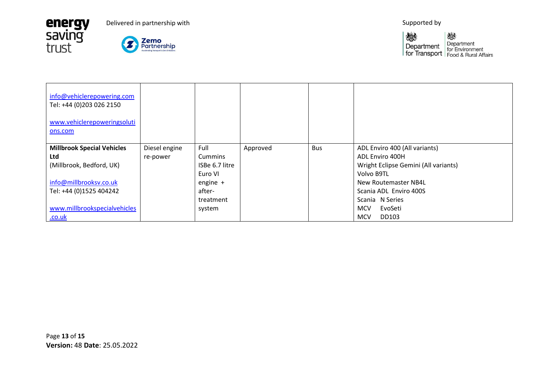



| info@vehiclerepowering.com<br>Tel: +44 (0)203 026 2150<br>www.vehiclerepoweringsoluti<br>ons.com |               |                |          |            |                                      |
|--------------------------------------------------------------------------------------------------|---------------|----------------|----------|------------|--------------------------------------|
| <b>Millbrook Special Vehicles</b>                                                                | Diesel engine | Full           | Approved | <b>Bus</b> | ADL Enviro 400 (All variants)        |
| Ltd                                                                                              | re-power      | Cummins        |          |            | ADL Enviro 400H                      |
| (Millbrook, Bedford, UK)                                                                         |               | ISBe 6.7 litre |          |            | Wright Eclipse Gemini (All variants) |
|                                                                                                  |               | Euro VI        |          |            | Volvo B9TL                           |
| info@millbrooksv.co.uk                                                                           |               | engine $+$     |          |            | New Routemaster NB4L                 |
| Tel: +44 (0)1525 404242                                                                          |               | after-         |          |            | Scania ADL Enviro 400S               |
|                                                                                                  |               | treatment      |          |            | Scania N Series                      |
| www.millbrookspecialvehicles                                                                     |               | system         |          |            | <b>MCV</b><br>EvoSeti                |
| <u>.co.uk</u>                                                                                    |               |                |          |            | <b>MCV</b><br>DD103                  |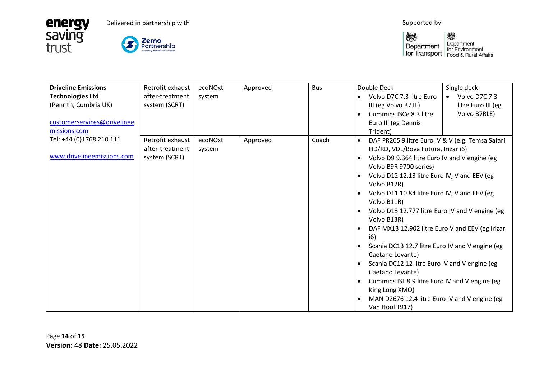

**energy**<br>saving<br>trust

| <b>Driveline Emissions</b>  | Retrofit exhaust | ecoNOxt | Approved | <b>Bus</b> | Double Deck                                                    | Single deck                |  |
|-----------------------------|------------------|---------|----------|------------|----------------------------------------------------------------|----------------------------|--|
| <b>Technologies Ltd</b>     | after-treatment  | system  |          |            | Volvo D7C 7.3 litre Euro                                       | Volvo D7C 7.3<br>$\bullet$ |  |
| (Penrith, Cumbria UK)       | system (SCRT)    |         |          |            | III (eg Volvo B7TL)                                            | litre Euro III (eg         |  |
|                             |                  |         |          |            | Cummins ISCe 8.3 litre                                         | Volvo B7RLE)               |  |
| customerservices@drivelinee |                  |         |          |            | Euro III (eg Dennis                                            |                            |  |
| missions.com                |                  |         |          |            | Trident)                                                       |                            |  |
| Tel: +44 (0)1768 210 111    | Retrofit exhaust | ecoNOxt | Approved | Coach      | DAF PR265 9 litre Euro IV & V (e.g. Temsa Safari               |                            |  |
|                             | after-treatment  | system  |          |            | HD/RD, VDL/Bova Futura, Irizar i6)                             |                            |  |
| www.drivelineemissions.com  | system (SCRT)    |         |          |            | Volvo D9 9.364 litre Euro IV and V engine (eg                  |                            |  |
|                             |                  |         |          |            | Volvo B9R 9700 series)                                         |                            |  |
|                             |                  |         |          |            | Volvo D12 12.13 litre Euro IV, V and EEV (eg                   |                            |  |
|                             |                  |         |          |            | Volvo B12R)                                                    |                            |  |
|                             |                  |         |          |            | Volvo D11 10.84 litre Euro IV, V and EEV (eg                   |                            |  |
|                             |                  |         |          |            | Volvo B11R)<br>Volvo D13 12.777 litre Euro IV and V engine (eg |                            |  |
|                             |                  |         |          |            |                                                                |                            |  |
|                             |                  |         |          |            | Volvo B13R)                                                    |                            |  |
|                             |                  |         |          |            | DAF MX13 12.902 litre Euro V and EEV (eg Irizar<br>i6)         |                            |  |
|                             |                  |         |          |            |                                                                |                            |  |
|                             |                  |         |          |            | Scania DC13 12.7 litre Euro IV and V engine (eg                |                            |  |
|                             |                  |         |          |            | Caetano Levante)                                               |                            |  |
|                             |                  |         |          |            | Scania DC12 12 litre Euro IV and V engine (eg                  |                            |  |
|                             |                  |         |          |            | Caetano Levante)                                               |                            |  |
|                             |                  |         |          |            | Cummins ISL 8.9 litre Euro IV and V engine (eg                 |                            |  |
|                             |                  |         |          |            | King Long XMQ)                                                 |                            |  |
|                             |                  |         |          |            | MAN D2676 12.4 litre Euro IV and V engine (eg                  |                            |  |
|                             |                  |         |          |            | Van Hool T917)                                                 |                            |  |